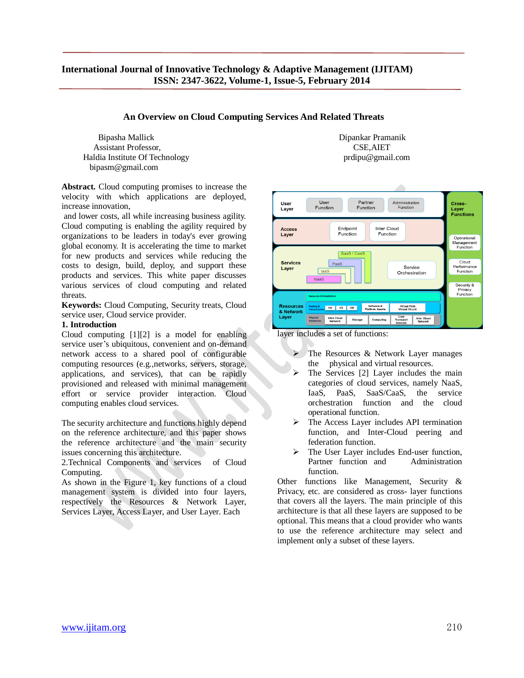**An Overview on Cloud Computing Services And Related Threats**

 Bipasha Mallick Dipankar Pramanik Assistant Professor. The CSE of the CSE of the CSE of the CSE of the CSE of the CSE of the CSE of the CSE. Haldia Institute Of Technology prdipu@gmail.com bipasm@gmail.com

**Abstract.** Cloud computing promises to increase the velocity with which applications are deployed, increase innovation,

and lower costs, all while increasing business agility. Cloud computing is enabling the agility required by organizations to be leaders in today's ever growing global economy. It is accelerating the time to market for new products and services while reducing the costs to design, build, deploy, and support these products and services. This white paper discusses various services of cloud computing and related threats.

**Keywords:** Cloud Computing, Security treats, Cloud service user, Cloud service provider.

### **1. Introduction**

Cloud computing [1][2] is a model for enabling service user's ubiquitous, convenient and on-demand network access to a shared pool of configurable computing resources (e.g.,networks, servers, storage, applications, and services), that can be rapidly provisioned and released with minimal management effort or service provider interaction. Cloud computing enables cloud services.

The security architecture and functions highly depend on the reference architecture, and this paper shows the reference architecture and the main security issues concerning this architecture.

2.Technical Components and services of Cloud Computing.

As shown in the Figure 1, key functions of a cloud management system is divided into four layers, respectively the Resources & Network Layer, Services Layer, Access Layer, and User Layer. Each



layer includes a set of functions:

- The Resources & Network Layer manages the physical and virtual resources.
- The Services [2] Layer includes the main categories of cloud services, namely NaaS, IaaS, PaaS, SaaS/CaaS, the service orchestration function and the cloud operational function.
- The Access Layer includes API termination function, and Inter-Cloud peering and federation function.
- The User Layer includes End-user function, Partner function and Administration function.

Other functions like Management, Security & Privacy, etc. are considered as cross- layer functions that covers all the layers. The main principle of this architecture is that all these layers are supposed to be optional. This means that a cloud provider who wants to use the reference architecture may select and implement only a subset of these layers.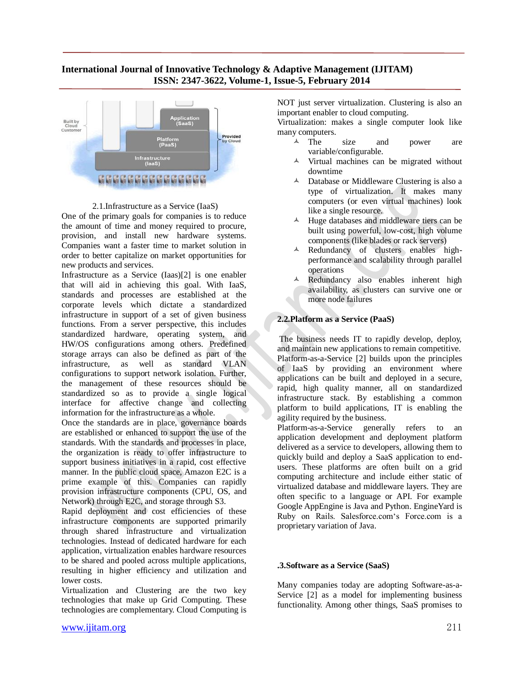

#### 2.1.Infrastructure as a Service (IaaS)

One of the primary goals for companies is to reduce the amount of time and money required to procure, provision, and install new hardware systems. Companies want a faster time to market solution in order to better capitalize on market opportunities for new products and services.

Infrastructure as a Service (Iaas)[2] is one enabler that will aid in achieving this goal. With IaaS, standards and processes are established at the corporate levels which dictate a standardized infrastructure in support of a set of given business functions. From a server perspective, this includes standardized hardware, operating system, and HW/OS configurations among others. Predefined storage arrays can also be defined as part of the infrastructure, as well as standard VLAN configurations to support network isolation. Further, the management of these resources should be standardized so as to provide a single logical interface for affective change and collecting information for the infrastructure as a whole.

Once the standards are in place, governance boards are established or enhanced to support the use of the standards. With the standards and processes in place, the organization is ready to offer infrastructure to support business initiatives in a rapid, cost effective manner. In the public cloud space, Amazon E2C is a prime example of this. Companies can rapidly provision infrastructure components (CPU, OS, and Network) through E2C, and storage through S3.

Rapid deployment and cost efficiencies of these infrastructure components are supported primarily through shared infrastructure and virtualization technologies. Instead of dedicated hardware for each application, virtualization enables hardware resources to be shared and pooled across multiple applications, resulting in higher efficiency and utilization and lower costs.

Virtualization and Clustering are the two key technologies that make up Grid Computing. These technologies are complementary. Cloud Computing is

NOT just server virtualization. Clustering is also an important enabler to cloud computing.

Virtualization: makes a single computer look like many computers.

- $\overline{A}$  The size and power are variable/configurable.
- $\lambda$  Virtual machines can be migrated without downtime
- $\triangle$  Database or Middleware Clustering is also a type of virtualization. It makes many computers (or even virtual machines) look like a single resource.
- $\triangle$  Huge databases and middleware tiers can be built using powerful, low-cost, high volume components (like blades or rack servers)
- Redundancy of clusters enables highperformance and scalability through parallel operations
- A Redundancy also enables inherent high availability, as clusters can survive one or more node failures

### **2.2.Platform as a Service (PaaS)**

The business needs IT to rapidly develop, deploy, and maintain new applications to remain competitive. Platform-as-a-Service [2] builds upon the principles of IaaS by providing an environment where applications can be built and deployed in a secure, rapid, high quality manner, all on standardized infrastructure stack. By establishing a common platform to build applications, IT is enabling the agility required by the business.

Platform-as-a-Service generally refers to an application development and deployment platform delivered as a service to developers, allowing them to quickly build and deploy a SaaS application to endusers. These platforms are often built on a grid computing architecture and include either static of virtualized database and middleware layers. They are often specific to a language or API. For example Google AppEngine is Java and Python. EngineYard is Ruby on Rails. Salesforce.com"s Force.com is a proprietary variation of Java.

#### **.3.Software as a Service (SaaS)**

Many companies today are adopting Software-as-a-Service [2] as a model for implementing business functionality. Among other things, SaaS promises to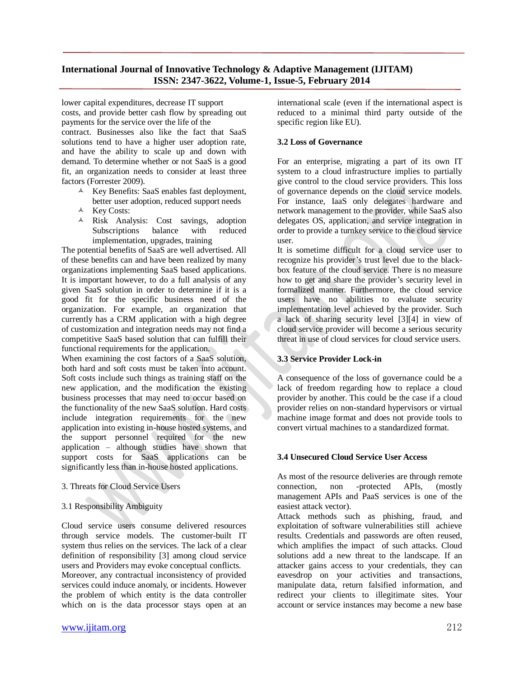lower capital expenditures, decrease IT support costs, and provide better cash flow by spreading out payments for the service over the life of the

contract. Businesses also like the fact that SaaS solutions tend to have a higher user adoption rate, and have the ability to scale up and down with demand. To determine whether or not SaaS is a good fit, an organization needs to consider at least three factors (Forrester 2009).

- Key Benefits: SaaS enables fast deployment, better user adoption, reduced support needs
- $\lambda$  Key Costs:
- Risk Analysis: Cost savings, adoption Subscriptions balance with reduced implementation, upgrades, training

The potential benefits of SaaS are well advertised. All of these benefits can and have been realized by many organizations implementing SaaS based applications. It is important however, to do a full analysis of any given SaaS solution in order to determine if it is a good fit for the specific business need of the organization. For example, an organization that currently has a CRM application with a high degree of customization and integration needs may not find a competitive SaaS based solution that can fulfill their functional requirements for the application.

When examining the cost factors of a SaaS solution, both hard and soft costs must be taken into account. Soft costs include such things as training staff on the new application, and the modification the existing business processes that may need to occur based on the functionality of the new SaaS solution. Hard costs include integration requirements for the new application into existing in-house hosted systems, and the support personnel required for the new application – although studies have shown that support costs for SaaS applications can be significantly less than in-house hosted applications.

3. Threats for Cloud Service Users

#### 3.1 Responsibility Ambiguity

Cloud service users consume delivered resources through service models. The customer-built IT system thus relies on the services. The lack of a clear definition of responsibility [3] among cloud service users and Providers may evoke conceptual conflicts. Moreover, any contractual inconsistency of provided services could induce anomaly, or incidents. However the problem of which entity is the data controller which on is the data processor stays open at an international scale (even if the international aspect is reduced to a minimal third party outside of the specific region like EU).

### **3.2 Loss of Governance**

For an enterprise, migrating a part of its own IT system to a cloud infrastructure implies to partially give control to the cloud service providers. This loss of governance depends on the cloud service models. For instance, IaaS only delegates hardware and network management to the provider, while SaaS also delegates OS, application, and service integration in order to provide a turnkey service to the cloud service user.

It is sometime difficult for a cloud service user to recognize his provider's trust level due to the blackbox feature of the cloud service. There is no measure how to get and share the provider's security level in formalized manner. Furthermore, the cloud service users have no abilities to evaluate security implementation level achieved by the provider. Such a lack of sharing security level [3][4] in view of cloud service provider will become a serious security threat in use of cloud services for cloud service users.

### **3.3 Service Provider Lock-in**

A consequence of the loss of governance could be a lack of freedom regarding how to replace a cloud provider by another. This could be the case if a cloud provider relies on non-standard hypervisors or virtual machine image format and does not provide tools to convert virtual machines to a standardized format.

# **3.4 Unsecured Cloud Service User Access**

As most of the resource deliveries are through remote connection, non -protected APIs, (mostly management APIs and PaaS services is one of the easiest attack vector).

Attack methods such as phishing, fraud, and exploitation of software vulnerabilities still achieve results. Credentials and passwords are often reused, which amplifies the impact of such attacks. Cloud solutions add a new threat to the landscape. If an attacker gains access to your credentials, they can eavesdrop on your activities and transactions, manipulate data, return falsified information, and redirect your clients to illegitimate sites. Your account or service instances may become a new base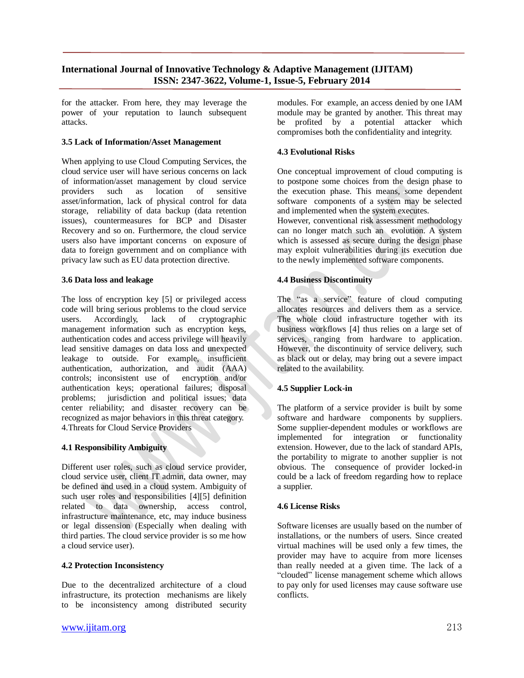for the attacker. From here, they may leverage the power of your reputation to launch subsequent attacks.

### **3.5 Lack of Information/Asset Management**

When applying to use Cloud Computing Services, the cloud service user will have serious concerns on lack of information/asset management by cloud service providers such as location of sensitive asset/information, lack of physical control for data storage, reliability of data backup (data retention issues), countermeasures for BCP and Disaster Recovery and so on. Furthermore, the cloud service users also have important concerns on exposure of data to foreign government and on compliance with privacy law such as EU data protection directive.

### **3.6 Data loss and leakage**

The loss of encryption key [5] or privileged access code will bring serious problems to the cloud service users. Accordingly, lack of cryptographic management information such as encryption keys, authentication codes and access privilege will heavily lead sensitive damages on data loss and unexpected leakage to outside. For example, insufficient authentication, authorization, and audit (AAA) controls; inconsistent use of encryption and/or authentication keys; operational failures; disposal problems; jurisdiction and political issues; data center reliability; and disaster recovery can be recognized as major behaviors in this threat category. 4.Threats for Cloud Service Providers

## **4.1 Responsibility Ambiguity**

Different user roles, such as cloud service provider, cloud service user, client IT admin, data owner, may be defined and used in a cloud system. Ambiguity of such user roles and responsibilities [4][5] definition related to data ownership, access control, infrastructure maintenance, etc, may induce business or legal dissension (Especially when dealing with third parties. The cloud service provider is so me how a cloud service user).

#### **4.2 Protection Inconsistency**

Due to the decentralized architecture of a cloud infrastructure, its protection mechanisms are likely to be inconsistency among distributed security modules. For example, an access denied by one IAM module may be granted by another. This threat may be profited by a potential attacker which compromises both the confidentiality and integrity.

### **4.3 Evolutional Risks**

One conceptual improvement of cloud computing is to postpone some choices from the design phase to the execution phase. This means, some dependent software components of a system may be selected and implemented when the system executes.

However, conventional risk assessment methodology can no longer match such an evolution. A system which is assessed as secure during the design phase may exploit vulnerabilities during its execution due to the newly implemented software components.

## **4.4 Business Discontinuity**

The "as a service" feature of cloud computing allocates resources and delivers them as a service. The whole cloud infrastructure together with its business workflows [4] thus relies on a large set of services, ranging from hardware to application. However, the discontinuity of service delivery, such as black out or delay, may bring out a severe impact related to the availability.

## **4.5 Supplier Lock-in**

The platform of a service provider is built by some software and hardware components by suppliers. Some supplier-dependent modules or workflows are implemented for integration or functionality extension. However, due to the lack of standard APIs, the portability to migrate to another supplier is not obvious. The consequence of provider locked-in could be a lack of freedom regarding how to replace a supplier.

#### **4.6 License Risks**

Software licenses are usually based on the number of installations, or the numbers of users. Since created virtual machines will be used only a few times, the provider may have to acquire from more licenses than really needed at a given time. The lack of a "clouded" license management scheme which allows to pay only for used licenses may cause software use conflicts.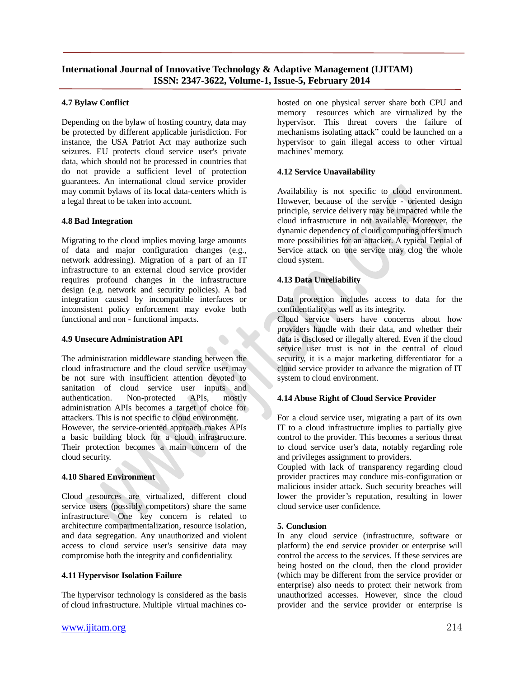## **4.7 Bylaw Conflict**

Depending on the bylaw of hosting country, data may be protected by different applicable jurisdiction. For instance, the USA Patriot Act may authorize such seizures. EU protects cloud service user's private data, which should not be processed in countries that do not provide a sufficient level of protection guarantees. An international cloud service provider may commit bylaws of its local data-centers which is a legal threat to be taken into account.

## **4.8 Bad Integration**

Migrating to the cloud implies moving large amounts of data and major configuration changes (e.g., network addressing). Migration of a part of an IT infrastructure to an external cloud service provider requires profound changes in the infrastructure design (e.g. network and security policies). A bad integration caused by incompatible interfaces or inconsistent policy enforcement may evoke both functional and non - functional impacts.

### **4.9 Unsecure Administration API**

The administration middleware standing between the cloud infrastructure and the cloud service user may be not sure with insufficient attention devoted to sanitation of cloud service user inputs and authentication. Non-protected APIs, mostly administration APIs becomes a target of choice for attackers. This is not specific to cloud environment. However, the service-oriented approach makes APIs a basic building block for a cloud infrastructure. Their protection becomes a main concern of the cloud security.

#### **4.10 Shared Environment**

Cloud resources are virtualized, different cloud service users (possibly competitors) share the same infrastructure. One key concern is related to architecture compartmentalization, resource isolation, and data segregation. Any unauthorized and violent access to cloud service user's sensitive data may compromise both the integrity and confidentiality.

## **4.11 Hypervisor Isolation Failure**

The hypervisor technology is considered as the basis of cloud infrastructure. Multiple virtual machines cohosted on one physical server share both CPU and memory resources which are virtualized by the hypervisor. This threat covers the failure of mechanisms isolating attack" could be launched on a hypervisor to gain illegal access to other virtual machines' memory.

## **4.12 Service Unavailability**

Availability is not specific to cloud environment. However, because of the service - oriented design principle, service delivery may be impacted while the cloud infrastructure in not available. Moreover, the dynamic dependency of cloud computing offers much more possibilities for an attacker. A typical Denial of Service attack on one service may clog the whole cloud system.

## **4.13 Data Unreliability**

Data protection includes access to data for the confidentiality as well as its integrity.

Cloud service users have concerns about how providers handle with their data, and whether their data is disclosed or illegally altered. Even if the cloud service user trust is not in the central of cloud security, it is a major marketing differentiator for a cloud service provider to advance the migration of IT system to cloud environment.

## **4.14 Abuse Right of Cloud Service Provider**

For a cloud service user, migrating a part of its own IT to a cloud infrastructure implies to partially give control to the provider. This becomes a serious threat to cloud service user's data, notably regarding role and privileges assignment to providers.

Coupled with lack of transparency regarding cloud provider practices may conduce mis-configuration or malicious insider attack. Such security breaches will lower the provider's reputation, resulting in lower cloud service user confidence.

#### **5. Conclusion**

In any cloud service (infrastructure, software or platform) the end service provider or enterprise will control the access to the services. If these services are being hosted on the cloud, then the cloud provider (which may be different from the service provider or enterprise) also needs to protect their network from unauthorized accesses. However, since the cloud provider and the service provider or enterprise is